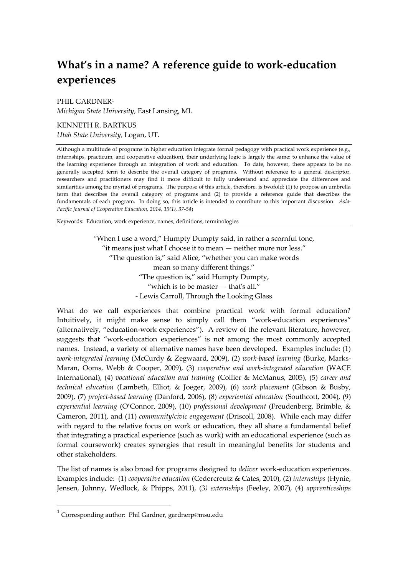# **What's in a name? A reference guide to work-education experiences**

PHIL GARDNER<sup>1</sup> *Michigan State University,* East Lansing, MI.

#### KENNETH R. BARTKUS

*Utah State University,* Logan, UT.

Although a multitude of programs in higher education integrate formal pedagogy with practical work experience (e.g., internships, practicum, and cooperative education), their underlying logic is largely the same: to enhance the value of the learning experience through an integration of work and education. To date, however, there appears to be no generally accepted term to describe the overall category of programs. Without reference to a general descriptor, researchers and practitioners may find it more difficult to fully understand and appreciate the differences and similarities among the myriad of programs. The purpose of this article, therefore, is twofold: (1) to propose an umbrella term that describes the overall category of programs and (2) to provide a reference guide that describes the fundamentals of each program. In doing so, this article is intended to contribute to this important discussion. *Asia-Pacific Journal of Cooperative Education, 2014, 15(1), 37-54*)

Keywords: Education, work experience, names, definitions, terminologies

*"*When I use a word," Humpty Dumpty said, in rather a scornful tone, "it means just what I choose it to mean — neither more nor less." "The question is," said Alice, "whether you can make words mean so many different things." "The question is," said Humpty Dumpty, "which is to be master — that's all." *-* Lewis Carroll, Through the Looking Glass

What do we call experiences that combine practical work with formal education? Intuitively, it might make sense to simply call them "work-education experiences" (alternatively, "education-work experiences"). A review of the relevant literature, however, suggests that "work-education experiences" is not among the most commonly accepted names. Instead, a variety of alternative names have been developed. Examples include: (1) *work-integrated learning* (McCurdy & Zegwaard, 2009), (2) *work-based learning* (Burke, Marks-Maran, Ooms, Webb & Cooper, 2009), (3) *cooperative and work-integrated education* (WACE International), (4) *vocational education and training* (Collier & McManus, 2005), (5) *career and technical education* (Lambeth, Elliot, & Joeger, 2009), (6) *work placement* (Gibson & Busby, 2009), (7) *project-based learning* (Danford, 2006), (8) *experiential education* (Southcott, 2004), (9) *experiential learning* (O'Connor, 2009), (10) *professional development* (Freudenberg, Brimble, & Cameron, 2011), and (11) *community/civic engagement* (Driscoll, 2008). While each may differ with regard to the relative focus on work or education, they all share a fundamental belief that integrating a practical experience (such as work) with an educational experience (such as formal coursework) creates synergies that result in meaningful benefits for students and other stakeholders.

The list of names is also broad for programs designed to *deliver* work-education experiences. Examples include: (1) *cooperative education* (Cedercreutz & Cates, 2010), (2) *internships* (Hynie, Jensen, Johnny, Wedlock, & Phipps, 2011), (3*) externships* (Feeley, 2007), (4) *apprenticeships*

 $\overline{a}$ 

<sup>&</sup>lt;sup>1</sup> Corresponding author: Phil Gardner, gardnerp@msu.edu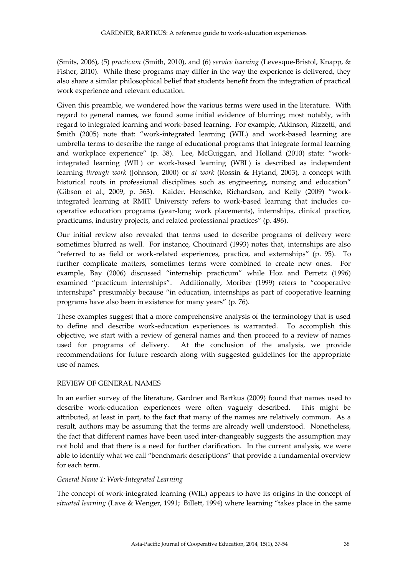(Smits, 2006), (5) *practicum* (Smith, 2010), and (6) *service learning* (Levesque-Bristol, Knapp, & Fisher, 2010). While these programs may differ in the way the experience is delivered, they also share a similar philosophical belief that students benefit from the integration of practical work experience and relevant education.

Given this preamble, we wondered how the various terms were used in the literature. With regard to general names, we found some initial evidence of blurring; most notably, with regard to integrated learning and work-based learning. For example, Atkinson, Rizzetti, and Smith (2005) note that: "work-integrated learning (WIL) and work-based learning are umbrella terms to describe the range of educational programs that integrate formal learning and workplace experience" (p. 38). Lee, McGuiggan, and Holland (2010) state: "workintegrated learning (WIL) or work-based learning (WBL) is described as independent learning *through work* (Johnson, 2000) or *at work* (Rossin & Hyland, 2003), a concept with historical roots in professional disciplines such as engineering, nursing and education" (Gibson et al., 2009, p. 563). Kaider, Henschke, Richardson, and Kelly (2009) "workintegrated learning at RMIT University refers to work-based learning that includes cooperative education programs (year-long work placements), internships, clinical practice, practicums, industry projects, and related professional practices" (p. 496).

Our initial review also revealed that terms used to describe programs of delivery were sometimes blurred as well. For instance, Chouinard (1993) notes that, internships are also "referred to as field or work-related experiences, practica, and externships" (p. 95). To further complicate matters, sometimes terms were combined to create new ones. For example, Bay (2006) discussed "internship practicum" while Hoz and Perretz (1996) examined "practicum internships". Additionally, Moriber (1999) refers to "cooperative internships" presumably because "in education, internships as part of cooperative learning programs have also been in existence for many years" (p. 76).

These examples suggest that a more comprehensive analysis of the terminology that is used to define and describe work-education experiences is warranted. To accomplish this objective, we start with a review of general names and then proceed to a review of names used for programs of delivery. At the conclusion of the analysis, we provide recommendations for future research along with suggested guidelines for the appropriate use of names.

# REVIEW OF GENERAL NAMES

In an earlier survey of the literature, Gardner and Bartkus (2009) found that names used to describe work-education experiences were often vaguely described. This might be attributed, at least in part, to the fact that many of the names are relatively common. As a result, authors may be assuming that the terms are already well understood. Nonetheless, the fact that different names have been used inter-changeably suggests the assumption may not hold and that there is a need for further clarification. In the current analysis, we were able to identify what we call "benchmark descriptions" that provide a fundamental overview for each term.

#### *General Name 1: Work-Integrated Learning*

The concept of work-integrated learning (WIL) appears to have its origins in the concept of *situated learning* (Lave & Wenger, 1991; Billett, 1994) where learning "takes place in the same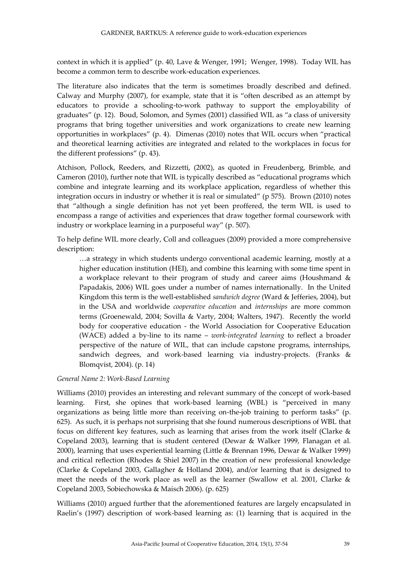context in which it is applied" (p. 40, Lave & Wenger, 1991; Wenger, 1998). Today WIL has become a common term to describe work-education experiences.

The literature also indicates that the term is sometimes broadly described and defined. Calway and Murphy (2007), for example, state that it is "often described as an attempt by educators to provide a schooling-to-work pathway to support the employability of graduates" (p. 12). Boud, Solomon, and Symes (2001) classified WIL as "a class of university programs that bring together universities and work organizations to create new learning opportunities in workplaces" (p. 4). Dimenas (2010) notes that WIL occurs when "practical and theoretical learning activities are integrated and related to the workplaces in focus for the different professions" (p. 43).

Atchison, Pollock, Reeders, and Rizzetti, (2002), as quoted in Freudenberg, Brimble, and Cameron (2010), further note that WIL is typically described as "educational programs which combine and integrate learning and its workplace application, regardless of whether this integration occurs in industry or whether it is real or simulated" (p 575). Brown (2010) notes that "although a single definition has not yet been proffered, the term WIL is used to encompass a range of activities and experiences that draw together formal coursework with industry or workplace learning in a purposeful way" (p. 507).

To help define WIL more clearly, Coll and colleagues (2009) provided a more comprehensive description:

…a strategy in which students undergo conventional academic learning, mostly at a higher education institution (HEI), and combine this learning with some time spent in a workplace relevant to their program of study and career aims (Houshmand & Papadakis, 2006) WIL goes under a number of names internationally. In the United Kingdom this term is the well-established *sandwich degree* (Ward & Jefferies, 2004), but in the USA and worldwide *cooperative education* and *internships* are more common terms (Groenewald, 2004; Sovilla & Varty, 2004; Walters, 1947). Recently the world body for cooperative education ‐ the World Association for Cooperative Education (WACE) added a by‐line to its name – *work‐integrated learning* to reflect a broader perspective of the nature of WIL, that can include capstone programs, internships, sandwich degrees, and work-based learning via industry-projects. (Franks & Blomqvist, 2004). (p. 14)

#### *General Name 2: Work-Based Learning*

Williams (2010) provides an interesting and relevant summary of the concept of work-based learning. First, she opines that work-based learning (WBL) is "perceived in many organizations as being little more than receiving on-the-job training to perform tasks" (p. 625). As such, it is perhaps not surprising that she found numerous descriptions of WBL that focus on different key features, such as learning that arises from the work itself (Clarke & Copeland 2003), learning that is student centered (Dewar & Walker 1999, Flanagan et al. 2000), learning that uses experiential learning (Little & Brennan 1996, Dewar & Walker 1999) and critical reflection (Rhodes & Shiel 2007) in the creation of new professional knowledge (Clarke & Copeland 2003, Gallagher & Holland 2004), and/or learning that is designed to meet the needs of the work place as well as the learner (Swallow et al. 2001, Clarke & Copeland 2003, Sobiechowska & Maisch 2006). (p. 625)

Williams (2010) argued further that the aforementioned features are largely encapsulated in Raelin's (1997) description of work-based learning as: (1) learning that is acquired in the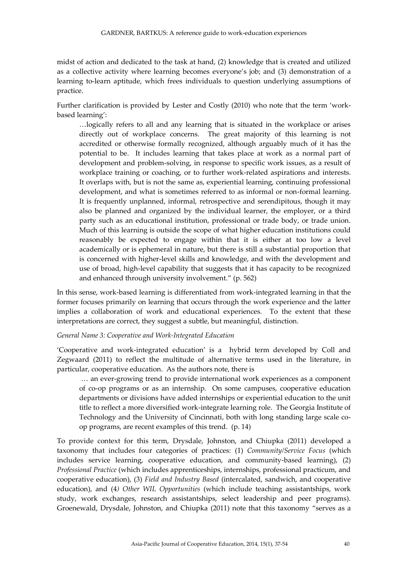midst of action and dedicated to the task at hand, (2) knowledge that is created and utilized as a collective activity where learning becomes everyone's job; and (3) demonstration of a learning to-learn aptitude, which frees individuals to question underlying assumptions of practice.

Further clarification is provided by Lester and Costly (2010) who note that the term 'workbased learning':

…logically refers to all and any learning that is situated in the workplace or arises directly out of workplace concerns. The great majority of this learning is not accredited or otherwise formally recognized, although arguably much of it has the potential to be. It includes learning that takes place at work as a normal part of development and problem-solving, in response to specific work issues, as a result of workplace training or coaching, or to further work-related aspirations and interests. It overlaps with, but is not the same as, experiential learning, continuing professional development, and what is sometimes referred to as informal or non-formal learning. It is frequently unplanned, informal, retrospective and serendipitous, though it may also be planned and organized by the individual learner, the employer, or a third party such as an educational institution, professional or trade body, or trade union. Much of this learning is outside the scope of what higher education institutions could reasonably be expected to engage within that it is either at too low a level academically or is ephemeral in nature, but there is still a substantial proportion that is concerned with higher-level skills and knowledge, and with the development and use of broad, high-level capability that suggests that it has capacity to be recognized and enhanced through university involvement." (p. 562)

In this sense, work-based learning is differentiated from work-integrated learning in that the former focuses primarily on learning that occurs through the work experience and the latter implies a collaboration of work and educational experiences. To the extent that these interpretations are correct, they suggest a subtle, but meaningful, distinction.

# *General Name 3: Cooperative and Work-Integrated Education*

'Cooperative and work-integrated education' is a hybrid term developed by Coll and Zegwaard (2011) to reflect the multitude of alternative terms used in the literature, in particular, cooperative education. As the authors note, there is

… an ever-growing trend to provide international work experiences as a component of co-op programs or as an internship. On some campuses, cooperative education departments or divisions have added internships or experiential education to the unit title to reflect a more diversified work-integrate learning role. The Georgia Institute of Technology and the University of Cincinnati, both with long standing large scale coop programs, are recent examples of this trend. (p. 14)

To provide context for this term, Drysdale, Johnston, and Chiupka (2011) developed a taxonomy that includes four categories of practices: (1) *Community/Service Focus* (which includes service learning, cooperative education, and community-based learning), (2) *Professional Practice* (which includes apprenticeships, internships, professional practicum, and cooperative education), (3) *Field and Industry Based* (intercalated, sandwich, and cooperative education), and (4*) Other WIL Opportunities* (which include teaching assistantships, work study, work exchanges, research assistantships, select leadership and peer programs). Groenewald, Drysdale, Johnston, and Chiupka (2011) note that this taxonomy "serves as a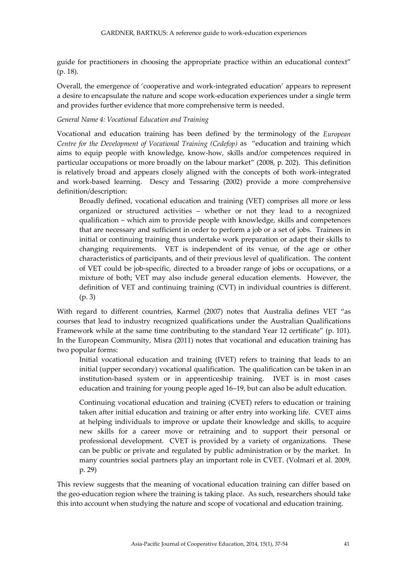guide for practitioners in choosing the appropriate practice within an educational context" (p. 18).

Overall, the emergence of 'cooperative and work-integrated education' appears to represent a desire to encapsulate the nature and scope work-education experiences under a single term and provides further evidence that more comprehensive term is needed.

#### *General Name 4: Vocational Education and Training*

Vocational and education training has been defined by the terminology of the *European Centre for the Development of Vocational Training (Cedefop)* as "education and training which aims to equip people with knowledge, know-how, skills and/or competences required in particular occupations or more broadly on the labour market" (2008, p. 202). This definition is relatively broad and appears closely aligned with the concepts of both work-integrated and work-based learning. Descy and Tessaring (2002) provide a more comprehensive definition/description:

Broadly defined, vocational education and training (VET) comprises all more or less organized or structured activities – whether or not they lead to a recognized qualification – which aim to provide people with knowledge, skills and competences that are necessary and sufficient in order to perform a job or a set of jobs. Trainees in initial or continuing training thus undertake work preparation or adapt their skills to changing requirements. VET is independent of its venue, of the age or other characteristics of participants, and of their previous level of qualification. The content of VET could be job-specific, directed to a broader range of jobs or occupations, or a mixture of both; VET may also include general education elements. However, the definition of VET and continuing training (CVT) in individual countries is different. (p. 3)

With regard to different countries, Karmel (2007) notes that Australia defines VET "as courses that lead to industry recognized qualifications under the Australian Qualifications Framework while at the same time contributing to the standard Year 12 certificate" (p. 101). In the European Community, Misra (2011) notes that vocational and education training has two popular forms:

Initial vocational education and training (IVET) refers to training that leads to an initial (upper secondary) vocational qualification. The qualification can be taken in an institution-based system or in apprenticeship training. IVET is in most cases education and training for young people aged 16–19, but can also be adult education.

Continuing vocational education and training (CVET) refers to education or training taken after initial education and training or after entry into working life. CVET aims at helping individuals to improve or update their knowledge and skills, to acquire new skills for a career move or retraining and to support their personal or professional development. CVET is provided by a variety of organizations. These can be public or private and regulated by public administration or by the market. In many countries social partners play an important role in CVET. (Volmari et al. 2009, p. 29)

This review suggests that the meaning of vocational education training can differ based on the geo-education region where the training is taking place. As such, researchers should take this into account when studying the nature and scope of vocational and education training.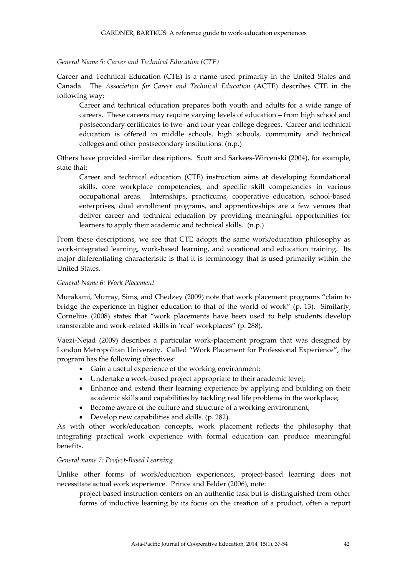#### *General Name 5: Career and Technical Education (CTE)*

Career and Technical Education (CTE) is a name used primarily in the United States and Canada. The *Association for Career and Technical Education* (ACTE) describes CTE in the following way:

Career and technical education prepares both youth and adults for a wide range of careers. These careers may require varying levels of education – from high school and postsecondary certificates to two- and four-year college degrees. Career and technical education is offered in middle schools, high schools, community and technical colleges and other postsecondary institutions. (n.p.)

Others have provided similar descriptions. Scott and Sarkees-Wircenski (2004), for example, state that:

Career and technical education (CTE) instruction aims at developing foundational skills, core workplace competencies, and specific skill competencies in various occupational areas. Internships, practicums, cooperative education, school-based enterprises, dual enrollment programs, and apprenticeships are a few venues that deliver career and technical education by providing meaningful opportunities for learners to apply their academic and technical skills. (n.p.)

From these descriptions, we see that CTE adopts the same work/education philosophy as work-integrated learning, work-based learning, and vocational and education training. Its major differentiating characteristic is that it is terminology that is used primarily within the United States.

#### *General Name 6: Work Placement*

Murakami, Murray, Sims, and Chedzey (2009) note that work placement programs "claim to bridge the experience in higher education to that of the world of work" (p. 13). Similarly, Cornelius (2008) states that "work placements have been used to help students develop transferable and work-related skills in 'real' workplaces" (p. 288).

Vaezi-Nejad (2009) describes a particular work-placement program that was designed by London Metropolitan University. Called "Work Placement for Professional Experience", the program has the following objectives:

- Gain a useful experience of the working environment;
- Undertake a work-based project appropriate to their academic level;
- Enhance and extend their learning experience by applying and building on their academic skills and capabilities by tackling real life problems in the workplace;
- Become aware of the culture and structure of a working environment;
- Develop new capabilities and skills. (p. 282).

As with other work/education concepts, work placement reflects the philosophy that integrating practical work experience with formal education can produce meaningful benefits.

#### *General name 7: Project-Based Learning*

Unlike other forms of work/education experiences, project-based learning does not necessitate actual work experience. Prince and Felder (2006), note:

project-based instruction centers on an authentic task but is distinguished from other forms of inductive learning by its focus on the creation of a product, often a report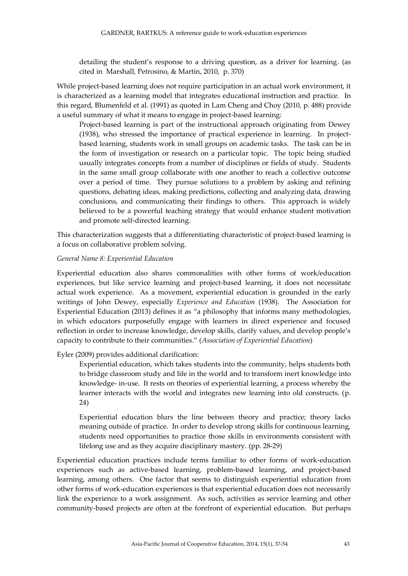detailing the student's response to a driving question, as a driver for learning. (as cited in Marshall, Petrosino, & Martin, 2010, p. 370)

While project-based learning does not require participation in an actual work environment, it is characterized as a learning model that integrates educational instruction and practice. In this regard, Blumenfeld et al. (1991) as quoted in Lam Cheng and Choy (2010, p. 488) provide a useful summary of what it means to engage in project-based learning:

Project-based learning is part of the instructional approach originating from Dewey (1938), who stressed the importance of practical experience in learning. In projectbased learning, students work in small groups on academic tasks. The task can be in the form of investigation or research on a particular topic. The topic being studied usually integrates concepts from a number of disciplines or fields of study. Students in the same small group collaborate with one another to reach a collective outcome over a period of time. They pursue solutions to a problem by asking and refining questions, debating ideas, making predictions, collecting and analyzing data, drawing conclusions, and communicating their findings to others. This approach is widely believed to be a powerful teaching strategy that would enhance student motivation and promote self-directed learning.

This characterization suggests that a differentiating characteristic of project-based learning is a focus on collaborative problem solving.

#### *General Name 8: Experiential Education*

Experiential education also shares commonalities with other forms of work/education experiences, but like service learning and project-based learning, it does not necessitate actual work experience. As a movement, experiential education is grounded in the early writings of John Dewey, especially *Experience and Education* (1938). The Association for Experiential Education (2013) defines it as "a philosophy that informs many methodologies, in which educators purposefully engage with learners in direct experience and focused reflection in order to increase knowledge, develop skills, clarify values, and develop people's capacity to contribute to their communities." (*Association of Experiential Education*)

#### Eyler (2009) provides additional clarification:

Experiential education, which takes students into the community, helps students both to bridge classroom study and life in the world and to transform inert knowledge into knowledge- in-use. It rests on theories of experiential learning, a process whereby the learner interacts with the world and integrates new learning into old constructs. (p. 24)

Experiential education blurs the line between theory and practice; theory lacks meaning outside of practice. In order to develop strong skills for continuous learning, students need opportunities to practice those skills in environments consistent with lifelong use and as they acquire disciplinary mastery. (pp. 28-29)

Experiential education practices include terms familiar to other forms of work-education experiences such as active-based learning, problem-based learning, and project-based learning, among others. One factor that seems to distinguish experiential education from other forms of work-education experiences is that experiential education does not necessarily link the experience to a work assignment. As such, activities as service learning and other community-based projects are often at the forefront of experiential education. But perhaps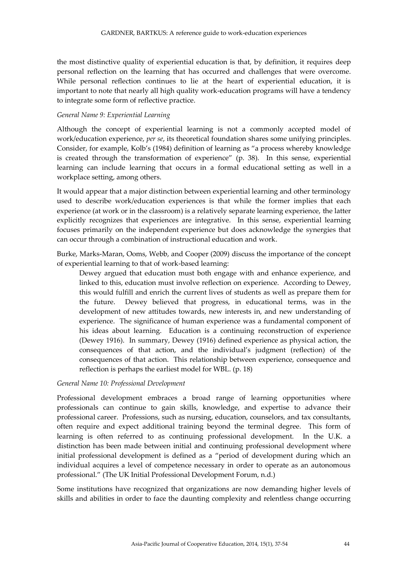the most distinctive quality of experiential education is that, by definition, it requires deep personal reflection on the learning that has occurred and challenges that were overcome. While personal reflection continues to lie at the heart of experiential education, it is important to note that nearly all high quality work-education programs will have a tendency to integrate some form of reflective practice.

### *General Name 9: Experiential Learning*

Although the concept of experiential learning is not a commonly accepted model of work/education experience, *per se*, its theoretical foundation shares some unifying principles. Consider, for example, Kolb's (1984) definition of learning as "a process whereby knowledge is created through the transformation of experience" (p. 38). In this sense, experiential learning can include learning that occurs in a formal educational setting as well in a workplace setting, among others.

It would appear that a major distinction between experiential learning and other terminology used to describe work/education experiences is that while the former implies that each experience (at work or in the classroom) is a relatively separate learning experience, the latter explicitly recognizes that experiences are integrative. In this sense, experiential learning focuses primarily on the independent experience but does acknowledge the synergies that can occur through a combination of instructional education and work.

Burke, Marks-Maran, Ooms, Webb, and Cooper (2009) discuss the importance of the concept of experiential learning to that of work-based learning:

Dewey argued that education must both engage with and enhance experience, and linked to this, education must involve reflection on experience. According to Dewey, this would fulfill and enrich the current lives of students as well as prepare them for the future. Dewey believed that progress, in educational terms, was in the development of new attitudes towards, new interests in, and new understanding of experience. The significance of human experience was a fundamental component of his ideas about learning. Education is a continuing reconstruction of experience (Dewey 1916). In summary, Dewey (1916) defined experience as physical action, the consequences of that action, and the individual's judgment (reflection) of the consequences of that action. This relationship between experience, consequence and reflection is perhaps the earliest model for WBL. (p. 18)

#### *General Name 10: Professional Development*

Professional development embraces a broad range of learning opportunities where professionals can continue to gain skills, knowledge, and expertise to advance their professional career. Professions, such as nursing, education, counselors, and tax consultants, often require and expect additional training beyond the terminal degree. This form of learning is often referred to as continuing professional development. In the U.K. a distinction has been made between initial and continuing professional development where initial professional development is defined as a "period of development during which an individual acquires a level of competence necessary in order to operate as an autonomous professional." (The UK Initial Professional Development Forum, n.d.)

Some institutions have recognized that organizations are now demanding higher levels of skills and abilities in order to face the daunting complexity and relentless change occurring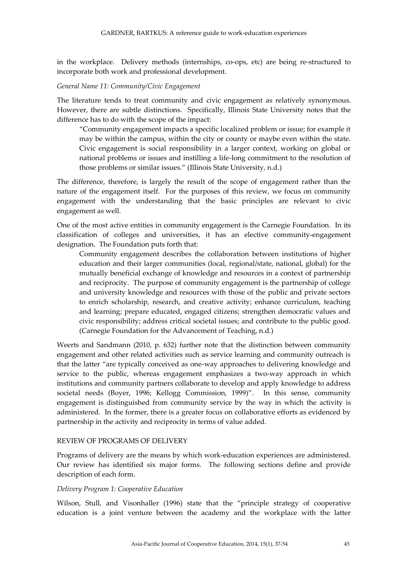in the workplace. Delivery methods (internships, co-ops, etc) are being re-structured to incorporate both work and professional development.

#### *General Name 11: Community/Civic Engagement*

The literature tends to treat community and civic engagement as relatively synonymous. However, there are subtle distinctions. Specifically, Illinois State University notes that the difference has to do with the scope of the impact:

"Community engagement impacts a specific localized problem or issue; for example it may be within the campus, within the city or county or maybe even within the state. Civic engagement is social responsibility in a larger context, working on global or national problems or issues and instilling a life-long commitment to the resolution of those problems or similar issues." (Illinois State University, n.d.)

The difference, therefore, is largely the result of the scope of engagement rather than the nature of the engagement itself. For the purposes of this review, we focus on community engagement with the understanding that the basic principles are relevant to civic engagement as well.

One of the most active entities in community engagement is the Carnegie Foundation. In its classification of colleges and universities, it has an elective community-engagement designation. The Foundation puts forth that:

Community engagement describes the collaboration between institutions of higher education and their larger communities (local, regional/state, national, global) for the mutually beneficial exchange of knowledge and resources in a context of partnership and reciprocity. The purpose of community engagement is the partnership of college and university knowledge and resources with those of the public and private sectors to enrich scholarship, research, and creative activity; enhance curriculum, teaching and learning; prepare educated, engaged citizens; strengthen democratic values and civic responsibility; address critical societal issues; and contribute to the public good. (Carnegie Foundation for the Advancement of Teaching, n.d.)

Weerts and Sandmann (2010, p. 632) further note that the distinction between community engagement and other related activities such as service learning and community outreach is that the latter "are typically conceived as one-way approaches to delivering knowledge and service to the public, whereas engagement emphasizes a two-way approach in which institutions and community partners collaborate to develop and apply knowledge to address societal needs (Boyer, 1996; Kellogg Commission, 1999)". In this sense, community engagement is distinguished from community service by the way in which the activity is administered. In the former, there is a greater focus on collaborative efforts as evidenced by partnership in the activity and reciprocity in terms of value added.

### REVIEW OF PROGRAMS OF DELIVERY

Programs of delivery are the means by which work-education experiences are administered. Our review has identified six major forms. The following sections define and provide description of each form.

### *Delivery Program 1: Cooperative Education*

Wilson, Stull, and Visonhaller (1996) state that the "principle strategy of cooperative education is a joint venture between the academy and the workplace with the latter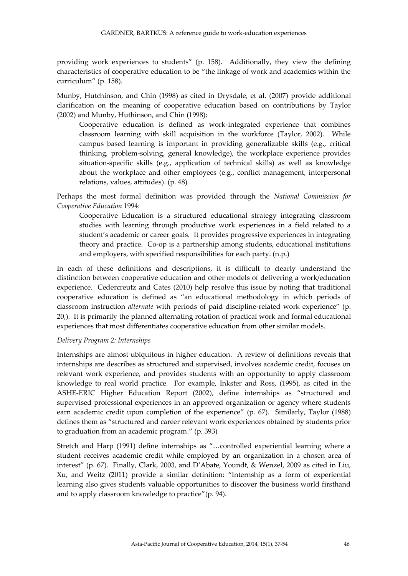providing work experiences to students" (p. 158). Additionally, they view the defining characteristics of cooperative education to be "the linkage of work and academics within the curriculum" (p. 158).

Munby, Hutchinson, and Chin (1998) as cited in Drysdale, et al. (2007) provide additional clarification on the meaning of cooperative education based on contributions by Taylor (2002) and Munby, Huthinson, and Chin (1998):

Cooperative education is defined as work-integrated experience that combines classroom learning with skill acquisition in the workforce (Taylor, 2002). While campus based learning is important in providing generalizable skills (e.g., critical thinking, problem-solving, general knowledge), the workplace experience provides situation-specific skills (e.g., application of technical skills) as well as knowledge about the workplace and other employees (e.g., conflict management, interpersonal relations, values, attitudes). (p. 48)

Perhaps the most formal definition was provided through the *National Commission for Cooperative Education* 1994:

Cooperative Education is a structured educational strategy integrating classroom studies with learning through productive work experiences in a field related to a student's academic or career goals. It provides progressive experiences in integrating theory and practice. Co-op is a partnership among students, educational institutions and employers, with specified responsibilities for each party. (n.p.)

In each of these definitions and descriptions, it is difficult to clearly understand the distinction between cooperative education and other models of delivering a work/education experience. Cedercreutz and Cates (2010) help resolve this issue by noting that traditional cooperative education is defined as "an educational methodology in which periods of classroom instruction *alternate* with periods of paid discipline-related work experience" (p. 20,). It is primarily the planned alternating rotation of practical work and formal educational experiences that most differentiates cooperative education from other similar models.

### *Delivery Program 2: Internships*

Internships are almost ubiquitous in higher education. A review of definitions reveals that internships are describes as structured and supervised, involves academic credit, focuses on relevant work experience, and provides students with an opportunity to apply classroom knowledge to real world practice. For example, Inkster and Ross, (1995), as cited in the ASHE-ERIC Higher Education Report (2002), define internships as "structured and supervised professional experiences in an approved organization or agency where students earn academic credit upon completion of the experience" (p. 67). Similarly, Taylor (1988) defines them as "structured and career relevant work experiences obtained by students prior to graduation from an academic program." (p. 393)

Stretch and Harp (1991) define internships as "…controlled experiential learning where a student receives academic credit while employed by an organization in a chosen area of interest" (p. 67). Finally, Clark, 2003, and D'Abate, Youndt, & Wenzel, 2009 as cited in Liu, Xu, and Weitz (2011) provide a similar definition: "Internship as a form of experiential learning also gives students valuable opportunities to discover the business world firsthand and to apply classroom knowledge to practice"(p. 94).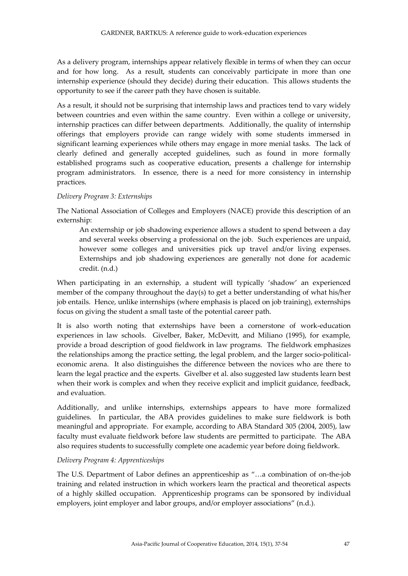As a delivery program, internships appear relatively flexible in terms of when they can occur and for how long. As a result, students can conceivably participate in more than one internship experience (should they decide) during their education. This allows students the opportunity to see if the career path they have chosen is suitable.

As a result, it should not be surprising that internship laws and practices tend to vary widely between countries and even within the same country. Even within a college or university, internship practices can differ between departments. Additionally, the quality of internship offerings that employers provide can range widely with some students immersed in significant learning experiences while others may engage in more menial tasks. The lack of clearly defined and generally accepted guidelines, such as found in more formally established programs such as cooperative education, presents a challenge for internship program administrators. In essence, there is a need for more consistency in internship practices.

# *Delivery Program 3: Externships*

The National Association of Colleges and Employers (NACE) provide this description of an externship:

An externship or job shadowing experience allows a student to spend between a day and several weeks observing a professional on the job. Such experiences are unpaid, however some colleges and universities pick up travel and/or living expenses. Externships and job shadowing experiences are generally not done for academic credit. (n.d.)

When participating in an externship, a student will typically 'shadow' an experienced member of the company throughout the day(s) to get a better understanding of what his/her job entails. Hence, unlike internships (where emphasis is placed on job training), externships focus on giving the student a small taste of the potential career path.

It is also worth noting that externships have been a cornerstone of work-education experiences in law schools. Givelber, Baker, McDevitt, and Miliano (1995), for example, provide a broad description of good fieldwork in law programs. The fieldwork emphasizes the relationships among the practice setting, the legal problem, and the larger socio-politicaleconomic arena. It also distinguishes the difference between the novices who are there to learn the legal practice and the experts. Givelber et al. also suggested law students learn best when their work is complex and when they receive explicit and implicit guidance, feedback, and evaluation.

Additionally, and unlike internships, externships appears to have more formalized guidelines. In particular, the ABA provides guidelines to make sure fieldwork is both meaningful and appropriate. For example, according to ABA Standard 305 (2004, 2005), law faculty must evaluate fieldwork before law students are permitted to participate. The ABA also requires students to successfully complete one academic year before doing fieldwork.

#### *Delivery Program 4: Apprenticeships*

The U.S. Department of Labor defines an apprenticeship as "…a combination of on-the-job training and related instruction in which workers learn the practical and theoretical aspects of a highly skilled occupation. Apprenticeship programs can be sponsored by individual employers, joint employer and labor groups, and/or employer associations" (n.d.).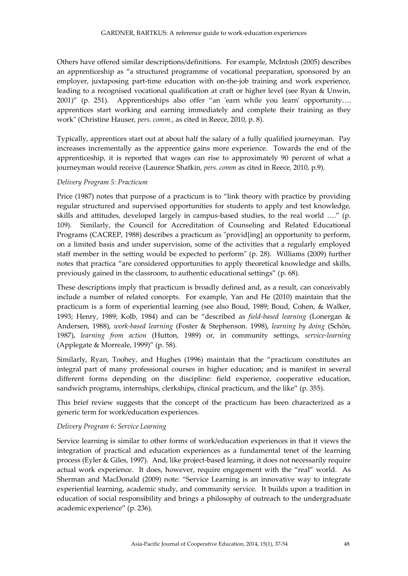Others have offered similar descriptions/definitions. For example, McIntosh (2005) describes an apprenticeship as "a structured programme of vocational preparation, sponsored by an employer, juxtaposing part-time education with on-the-job training and work experience, leading to a recognised vocational qualification at craft or higher level (see Ryan & Unwin, 2001)" (p. 251). Apprenticeships also offer "an 'earn while you learn' opportunity…. apprentices start working and earning immediately and complete their training as they work" (Christine Hauser, *pers. comm.*, as cited in Reece, 2010, p. 8).

Typically, apprentices start out at about half the salary of a fully qualified journeyman. Pay increases incrementally as the apprentice gains more experience. Towards the end of the apprenticeship, it is reported that wages can rise to approximately 90 percent of what a journeyman would receive (Laurence Shatkin, *pers. comm* as cited in Reece, 2010, p.9).

# *Delivery Program 5: Practicum*

Price (1987) notes that purpose of a practicum is to "link theory with practice by providing regular structured and supervised opportunities for students to apply and test knowledge, skills and attitudes, developed largely in campus-based studies, to the real world …." (p. 109). Similarly, the Council for Accreditation of Counseling and Related Educational Programs (CACREP, 1988) describes a practicum as "provid[ing] an opportunity to perform, on a limited basis and under supervision, some of the activities that a regularly employed staff member in the setting would be expected to perform" (p. 28). Williams (2009) further notes that practica "are considered opportunities to apply theoretical knowledge and skills, previously gained in the classroom, to authentic educational settings" (p. 68).

These descriptions imply that practicum is broadly defined and, as a result, can conceivably include a number of related concepts. For example, Yan and He (2010) maintain that the practicum is a form of experiential learning (see also Boud, 1989; Boud, Cohen, & Walker, 1993; Henry, 1989; Kolb, 1984) and can be "described as *field-based learning* (Lonergan & Andersen, 1988), *work-based learning* (Foster & Stephenson. 1998), *learning by doing* (Schön, 1987), *learning from action* (Hutton, 1989) or, in community settings, *service-learning* (Applegate & Morreale, 1999)" (p. 58).

Similarly, Ryan, Toohey, and Hughes (1996) maintain that the "practicum constitutes an integral part of many professional courses in higher education; and is manifest in several different forms depending on the discipline: field experience, cooperative education, sandwich programs, internships, clerkships, clinical practicum, and the like" (p. 355).

This brief review suggests that the concept of the practicum has been characterized as a generic term for work/education experiences.

#### *Delivery Program 6: Service Learning*

Service learning is similar to other forms of work/education experiences in that it views the integration of practical and education experiences as a fundamental tenet of the learning process (Eyler & Giles, 1997). And, like project-based learning, it does not necessarily require actual work experience. It does, however, require engagement with the "real" world. As Sherman and MacDonald (2009) note: "Service Learning is an innovative way to integrate experiential learning, academic study, and community service. It builds upon a tradition in education of social responsibility and brings a philosophy of outreach to the undergraduate academic experience" (p. 236).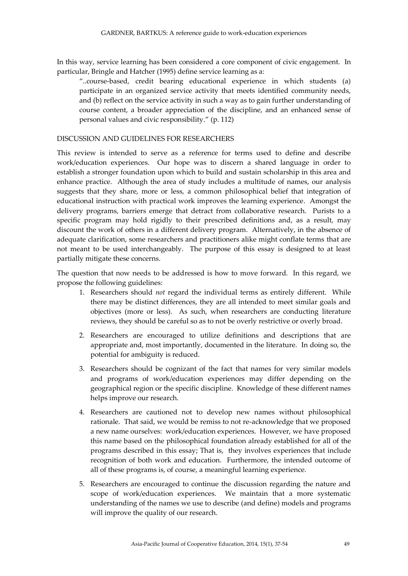In this way, service learning has been considered a core component of civic engagement. In particular, Bringle and Hatcher (1995) define service learning as a:

"..course-based, credit bearing educational experience in which students (a) participate in an organized service activity that meets identified community needs, and (b) reflect on the service activity in such a way as to gain further understanding of course content, a broader appreciation of the discipline, and an enhanced sense of personal values and civic responsibility." (p. 112)

### DISCUSSION AND GUIDELINES FOR RESEARCHERS

This review is intended to serve as a reference for terms used to define and describe work/education experiences. Our hope was to discern a shared language in order to establish a stronger foundation upon which to build and sustain scholarship in this area and enhance practice. Although the area of study includes a multitude of names, our analysis suggests that they share, more or less, a common philosophical belief that integration of educational instruction with practical work improves the learning experience. Amongst the delivery programs, barriers emerge that detract from collaborative research. Purists to a specific program may hold rigidly to their prescribed definitions and, as a result, may discount the work of others in a different delivery program. Alternatively, in the absence of adequate clarification, some researchers and practitioners alike might conflate terms that are not meant to be used interchangeably. The purpose of this essay is designed to at least partially mitigate these concerns.

The question that now needs to be addressed is how to move forward. In this regard, we propose the following guidelines:

- 1. Researchers should *not* regard the individual terms as entirely different. While there may be distinct differences, they are all intended to meet similar goals and objectives (more or less). As such, when researchers are conducting literature reviews, they should be careful so as to not be overly restrictive or overly broad.
- 2. Researchers are encouraged to utilize definitions and descriptions that are appropriate and, most importantly, documented in the literature. In doing so, the potential for ambiguity is reduced.
- 3. Researchers should be cognizant of the fact that names for very similar models and programs of work/education experiences may differ depending on the geographical region or the specific discipline. Knowledge of these different names helps improve our research.
- 4. Researchers are cautioned not to develop new names without philosophical rationale. That said, we would be remiss to not re-acknowledge that we proposed a new name ourselves: work/education experiences. However, we have proposed this name based on the philosophical foundation already established for all of the programs described in this essay; That is, they involves experiences that include recognition of both work and education. Furthermore, the intended outcome of all of these programs is, of course, a meaningful learning experience.
- 5. Researchers are encouraged to continue the discussion regarding the nature and scope of work/education experiences. We maintain that a more systematic understanding of the names we use to describe (and define) models and programs will improve the quality of our research.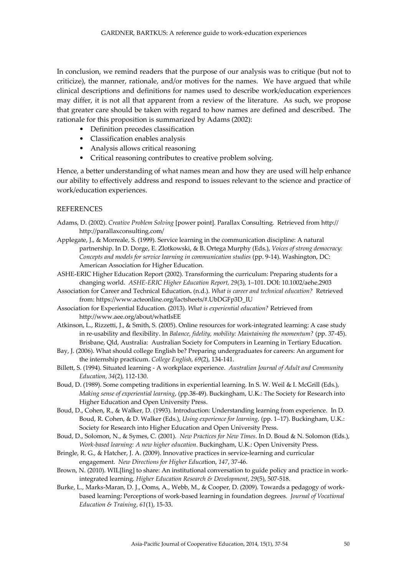In conclusion, we remind readers that the purpose of our analysis was to critique (but not to criticize), the manner, rationale, and/or motives for the names. We have argued that while clinical descriptions and definitions for names used to describe work/education experiences may differ, it is not all that apparent from a review of the literature. As such, we propose that greater care should be taken with regard to how names are defined and described. The rationale for this proposition is summarized by Adams (2002):

- Definition precedes classification
- Classification enables analysis
- Analysis allows critical reasoning
- Critical reasoning contributes to creative problem solving.

Hence, a better understanding of what names mean and how they are used will help enhance our ability to effectively address and respond to issues relevant to the science and practice of work/education experiences.

#### **REFERENCES**

- Adams, D. (2002). *Creative Problem Solving* [power point]. Parallax Consulting. Retrieved from http:// http://parallaxconsulting.com/
- Applegate, J., & Morreale, S. (1999). Service learning in the communication discipline: A natural partnership. In D. Dorge, E. Zlotkowski, & B. Ortega Murphy (Eds.), *Voices of strong democracy: Concepts and models for service learning in communication studies* (pp. 9-14). Washington, DC: American Association for Higher Education.
- ASHE-ERIC Higher Education Report (2002). Transforming the curriculum: Preparing students for a changing world. *ASHE-ERIC Higher Education Report, 29*(3), 1–101. DOI: 10.1002/aehe.2903
- Association for Career and Technical Education**.** (n.d.). *What is career and technical education?* Retrieved from: [https://www.acteonline.org/factsheets/#.UbDGFp3D\\_IU](https://www.acteonline.org/factsheets/#.UbDGFp3D_IU)
- Association for Experiential Education. (2013). *What is experiential education?* Retrieved from http://www.aee.org/about/whatIsEE
- Atkinson, L., Rizzetti, J., & Smith, S. (2005). Online resources for work-integrated learning: A case study in re-usability and flexibility. In *Balance, fidelity, mobility: Maintaining the momentum?* (pp. 37-45). Brisbane, Qld, Australia: Australian Society for Computers in Learning in Tertiary Education.
- Bay, J. (2006). What should college English be? Preparing undergraduates for careers: An argument for the internship practicum. *College English*, *69*(2), 134-141.
- Billett, S. (1994). Situated learning A workplace experience. *Australian Journal of Adult and Community Education*, *34*(2), 112-130.
- Boud, D. (1989). Some competing traditions in experiential learning. In S. W. Weil & I. McGrill (Eds.), *Making sense of experiential learning*, (pp.38-49). Buckingham, U.K.: The Society for Research into Higher Education and Open University Press.
- Boud, D., Cohen, R., & Walker, D. (1993). Introduction: Understanding learning from experience. In D. Boud, R. Cohen, & D. Walker (Eds.), *Using experience for learning*, (pp. 1–17). Buckingham, U.K.: Society for Research into Higher Education and Open University Press.
- Boud, D., Solomon, N., & Symes, C. (2001). *New Practices for New Times*. In D. Boud & N. Solomon (Eds.), *Work-based learning: A new higher education*. Buckingham, U.K.: Open University Press.
- Bringle, R. G., & Hatcher, J. A. (2009). Innovative practices in service-learning and curricular engagement. *New Directions for Higher Educa*tion, *147*, 37-46.
- Brown, N. (2010). WIL[ling] to share: An institutional conversation to guide policy and practice in workintegrated learning. *Higher Education Research & Development*, *29*(5), 507-518.
- Burke, L., Marks-Maran, D. J., Ooms, A., Webb, M., & Cooper, D. (2009). Towards a pedagogy of workbased learning: Perceptions of work-based learning in foundation degrees*. Journal of Vocational Education & Training*, *61*(1), 15-33.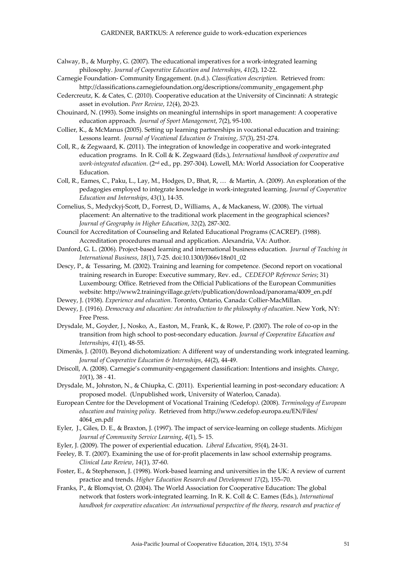- Calway, B., & Murphy, G. (2007). The educational imperatives for a work-integrated learning philosophy. *Journal of Cooperative Education and Internships*, *41*(2), 12-22.
- Carnegie Foundation- Community Engagement. (n.d.). *Classification description.* Retrieved from: http://classifications.carnegiefoundation.org/descriptions/community\_engagement.php
- Cedercreutz, K. & Cates, C. (2010). Cooperative education at the University of Cincinnati: A strategic asset in evolution. *Peer Review*, *12*(4), 20-23.
- Chouinard, N. (1993). Some insights on meaningful internships in sport management: A cooperative education approach. *Journal of Sport Management*, 7(2), 95-100.
- Collier, K., & McManus (2005). Setting up learning partnerships in vocational education and training: Lessons learnt. *Journal of Vocational Education & Training*, *57*(3), 251-274.
- Coll, R., & Zegwaard, K. (2011). The integration of knowledge in cooperative and work-integrated education programs. In R. Coll & K. Zegwaard (Eds.), *International handbook of cooperative and*  work-integrated education. (2<sup>nd</sup> ed., pp. 297-304). Lowell, MA: World Association for Cooperative Education.
- Coll, R., Eames, C., Paku, L., Lay, M., Hodges, D., Bhat, R, … & Martin, A. (2009). An exploration of the pedagogies employed to integrate knowledge in work-integrated learning. *Journal of Cooperative Education and Internships*, *43*(1), 14-35.
- Cornelius, S., Medyckyj-Scott, D., Forrest, D., Williams, A., & Mackaness, W. (2008). The virtual placement: An alternative to the traditional work placement in the geographical sciences? *Journal of Geography in Higher Education*, *32*(2), 287-302.
- Council for Accreditation of Counseling and Related Educational Programs (CACREP). (1988). Accreditation procedures manual and application. Alexandria, VA: Author.
- Danford, G. L. (2006). Project-based learning and international business education. *Journal of Teaching in International Business*, *18*(1), 7-25. doi:10.1300/J066v18n01\_02
- Descy, P., & Tessaring, M. (2002). Training and learning for competence. (Second report on vocational training research in Europe: Executive summary, Rev. ed., *CEDEFOP Reference Series*; 31) Luxembourg: Office. Retrieved from the Official Publications of the European Communities website: http://www2.trainingvillage.gr/etv/publication/download/panorama/4009\_en.pdf
- Dewey, J. (1938). *Experience and education*. Toronto, Ontario, Canada: Collier-MacMillan.
- Dewey, J. (1916). *Democracy and education: An introduction to the philosophy of education*. New York, NY: Free Press.
- Drysdale, M., Goyder, J., Nosko, A., Easton, M., Frank, K., & Rowe, P. (2007). The role of co-op in the transition from high school to post-secondary education. *Journal of Cooperative Education and Internships*, *41*(1), 48-55.
- Dimenäs, J. (2010). Beyond dichotomization: A different way of understanding work integrated learning. *Journal of Cooperative Education & Internships*, *44*(2), 44-49.
- Driscoll, A. (2008). Carnegie's community-engagement classification: Intentions and insights. *Change*, *10*(1), 38 - 41.
- Drysdale, M., Johnston, N., & Chiupka, C. (2011). Experiential learning in post-secondary education: A proposed model. (Unpublished work, University of Waterloo, Canada).
- European Centre for the Development of Vocational Training *(*Cedefop*)*. (2008). *Terminology of European education and training policy*. Retrieved fro[m http://www.cedefop.europa.eu/EN/Files/](http://www.cedefop.europa.eu/EN/Files/) 4064\_en.pdf
- Eyler, J., Giles, D. E., & Braxton, J. (1997). The impact of service-learning on college students. *Michigan Journal of Community Service Learning*, *4*(1), 5- 15.
- Eyler, J. (2009). The power of experiential education. *Liberal Education*, *95*(4), 24-31.
- Feeley, B. T. (2007). Examining the use of for-profit placements in law school externship programs. *Clinical Law Review*, *14*(1), 37-60.
- Foster, E., & Stephenson, J. (1998). Work-based learning and universities in the UK: A review of current practice and trends. *Higher Education Research and Development 17*(2), 155–70.
- Franks, P., & Blomqvist, O. (2004). The World Association for Cooperative Education: The global network that fosters work‐integrated learning. In R. K. Coll & C. Eames (Eds.), *International handbook for cooperative education: An international perspective of the theory, research and practice of*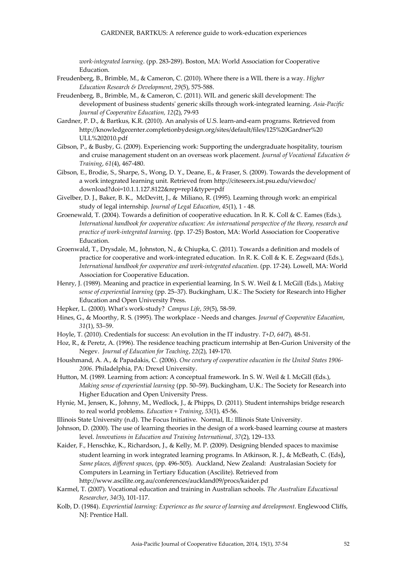*work‐integrated learning*. (pp. 283-289). Boston, MA: World Association for Cooperative Education.

- Freudenberg, B., Brimble, M., & Cameron, C. (2010). Where there is a WIL there is a way. *Higher Education Research & Development*, *29*(5), 575-588.
- Freudenberg, B., Brimble, M., & Cameron, C. (2011). WIL and generic skill development: The development of business students' generic skills through work-integrated learning. *Asia-Pacific Journal of Cooperative Education, 12*(2), 79-93
- Gardner, P. D., & Bartkus, K.R. (2010). An analysis of U.S. learn-and-earn programs. Retrieved from [http://knowledgecenter.completionbydesign.org/sites/default/files/125%20Gardner%20](http://knowledgecenter.completionbydesign.org/sites/default/files/125%20Gardner) ULL%202010.pdf
- Gibson, P., & Busby, G. (2009). Experiencing work: Supporting the undergraduate hospitality, tourism and cruise management student on an overseas work placement. *Journal of Vocational Education & Training*, *61*(4), 467-480.
- Gibson, E., Brodie, S., Sharpe, S., Wong, D. Y., Deane, E., & Fraser, S. (2009). Towards the development of a work integrated learning unit. Retrieved from<http://citeseerx.ist.psu.edu/viewdoc/> download?doi=10.1.1.127.8122&rep=rep1&type=pdf
- Givelber, D. J., Baker, B. K., McDevitt, J., & Miliano, R. (1995). Learning through work: an empirical study of legal internship. *Journal of Legal Education*, *45*(1), 1 - 48.
- Groenewald, T. (2004). Towards a definition of cooperative education. In R. K. Coll & C. Eames (Eds.), *International handbook for cooperative education: An international perspective of the theory, research and practice of work‐integrated learning*. (pp. 17-25) Boston, MA: World Association for Cooperative Education.
- Groenwald, T., Drysdale, M., Johnston, N., & Chiupka, C. (2011). Towards a definition and models of practice for cooperative and work-integrated education. In R. K. Coll & K. E. Zegwaard (Eds.), *International handbook for cooperative and work-integrated education*. (pp. 17-24). Lowell, MA: World Association for Cooperative Education.
- Henry, J. (1989). Meaning and practice in experiential learning. In S. W. Weil & I. McGill (Eds.), *Making sense of experiential learning* (pp. 25–37). Buckingham, U.K.: The Society for Research into Higher Education and Open University Press.
- Hepker, L. (2000). What's work-study? *Campus Life*, *59*(5), 58-59.
- Hines, G., & Moorthy, R. S. (1995). The workplace Needs and changes. *Journal of Cooperative Education*, *31*(1), 53–59.
- Hoyle, T. (2010). Credentials for success: An evolution in the IT industry. *T+D*, *64(*7), 48-51.
- Hoz, R., & Peretz, A. (1996). The residence teaching practicum internship at Ben-Gurion University of the Negev. *Journal of Education for Teaching*, *22*(2), 149-170.
- Houshmand, A. A., & Papadakis, C. (2006). *One century of cooperative education in the United States 1906‐ 2006*. Philadelphia, PA: Drexel University.
- Hutton, M. (1989. Learning from action: A conceptual framework. In S. W. Weil & I. McGill (Eds.), *Making sense of experiential learning* (pp. 50–59). Buckingham, U.K.: The Society for Research into Higher Education and Open University Press.
- Hynie, M., Jensen, K., Johnny, M., Wedlock, J., & Phipps, D. (2011). Student internships bridge research to real world problems. *Education + Training*, *53*(1), 45-56.
- Illinois State University (n.d). The Focus Initiative. Normal, IL: Illinois State University.
- Johnson, D. (2000). The use of learning theories in the design of a work-based learning course at masters level. *Innovations in Education and Training International*, *37*(2), 129–133.
- Kaider, F., Henschke, K., Richardson, J., & Kelly, M. P. (2009). Designing blended spaces to maximise student learning in work integrated learning programs. In Atkinson, R. J., & McBeath, C. (Eds), *Same places, different spaces*, (pp. 496-505). Auckland, New Zealand: Australasian Society for Computers in Learning in Tertiary Education (Ascilite). Retrieved from [http://www.ascilite.org.au/c](http://www.ascilite.org.au/)onferences/auckland09/procs/kaider.pd
- Karmel, T. (2007). Vocational education and training in Australian schools. *The Australian Educational Researcher*, *34(*3), 101-117.
- Kolb, D. (1984). *Experiential learning: Experience as the source of learning and development*. Englewood Cliffs, NJ: Prentice Hall.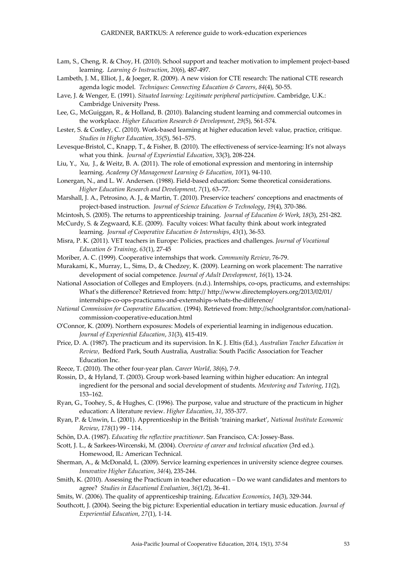- Lam, S., Cheng, R. & Choy, H. (2010). School support and teacher motivation to implement project-based learning. *Learning & Instruction*, *20*(6), 487-497.
- Lambeth, J. M., Elliot, J., & Joeger, R. (2009). A new vision for CTE research: The national CTE research agenda logic model. *Techniques: Connecting Education & Careers*, *84*(4), 50-55.
- Lave, J. & Wenger, E. (1991). *Situated learning: Legitimate peripheral participation*. Cambridge, U.K.: Cambridge University Press.
- Lee, G., McGuiggan, R., & Holland, B. (2010). Balancing student learning and commercial outcomes in the workplace. *Higher Education Research & Development*, *29*(5), 561-574.
- Lester, S. & Costley, C. (2010). Work-based learning at higher education level: value, practice, critique. *Studies in Higher Education*, *35*(5), 561–575.
- Levesque-Bristol, C., Knapp, T., & Fisher, B. (2010). The effectiveness of service-learning: It's not always what you think. *Journal of Experiential Education*, 33(3), 208-224.
- Liu, Y., Xu, J., & Weitz, B. A. (2011). The role of emotional expression and mentoring in internship learning. *Academy Of Management Learning & Education*, *10(*1), 94-110.
- Lonergan, N., and L. W. Andersen. (1988). Field-based education: Some theoretical considerations. *Higher Education Research and Development, 7*(1), 63–77.
- Marshall, J. A., Petrosino, A. J., & Martin, T. (2010). Preservice teachers' conceptions and enactments of project-based instruction. *Journal of Science Education & Technology*, *19*(4), 370-386.
- Mcintosh, S. (2005). The returns to apprenticeship training. *Journal of Education & Work*, *18*(3), 251-282.
- McCurdy, S. & Zegwaard, K.E. (2009). Faculty voices: What faculty think about work integrated learning. *Journal of Cooperative Education & Internships*, *43*(1), 36-53.
- Misra, P. K. (2011). VET teachers in Europe: Policies, practices and challenges. *Journal of Vocational Education & Training*, *63*(1), 27-45

Moriber, A. C. (1999). Cooperative internships that work. *Community Review*, 76-79.

- Murakami, K., Murray, L., Sims, D., & Chedzey, K. (2009). Learning on work placement: The narrative development of social competence. *Journal of Adult Development*, *16*(1), 13-24.
- National Association of Colleges and Employers. (n.d.). Internships, co-ops, practicums, and externships: What's the difference? Retrieved from: http:// [http://www.directemployers.org/2](http://www.directemployers.org/)013/02/01/ internships-co-ops-practicums-and-externships-whats-the-difference/
- *National Commission for Cooperative Education.* (1994). Retrieved from[: http://schoolgrantsfor.com/national](http://schoolgrantsfor.com/national-commission-cooperative-education.html)[commission-cooperative-education.html](http://schoolgrantsfor.com/national-commission-cooperative-education.html)
- O'Connor, K. (2009). Northern exposures: Models of experiential learning in indigenous education. *Journal of Experiential Education*, *31*(3), 415-419.
- Price, D. A. (1987). The practicum and its supervision. In K. J. Eltis (Ed.), *Australian Teacher Education in Review*, Bedford Park, South Australia, Australia: South Pacific Association for Teacher Education Inc.
- Reece, T. (2010). The other four-year plan. *Career World*, *38*(6), 7-9.
- Rossin, D., & Hyland, T. (2003). Group work-based learning within higher education: An integral ingredient for the personal and social development of students. *Mentoring and Tutoring*, *11*(2), 153–162.
- Ryan, G., Toohey, S., & Hughes, C. (1996). The purpose, value and structure of the practicum in higher education: A literature review. *Higher Education*, *31*, 355-377.
- Ryan, P. & Unwin, L. (2001). Apprenticeship in the British 'training market', *National Institute Economic Review*, *178*(1) 99 - 114.
- Schön, D.A. (1987). *Educating the reflective practitioner*. San Francisco, CA: Jossey-Bass.

Scott, J. L., & Sarkees-Wircenski, M. (2004). *Overview of career and technical education* (3rd ed.). Homewood, IL: American Technical.

- Sherman, A., & McDonald, L. (2009). Service learning experiences in university science degree courses. *Innovative Higher Education*, *34(*4), 235-244.
- Smith, K. (2010). Assessing the Practicum in teacher education Do we want candidates and mentors to agree? *Studies in Educational Evaluation*, *36*(1/2), 36-41.
- Smits, W. (2006). The quality of apprenticeship training. *Education Economics*, *14*(3), 329-344.
- Southcott, J. (2004). Seeing the big picture: Experiential education in tertiary music education. *Journal of Experiential Education*, *27*(1), 1-14.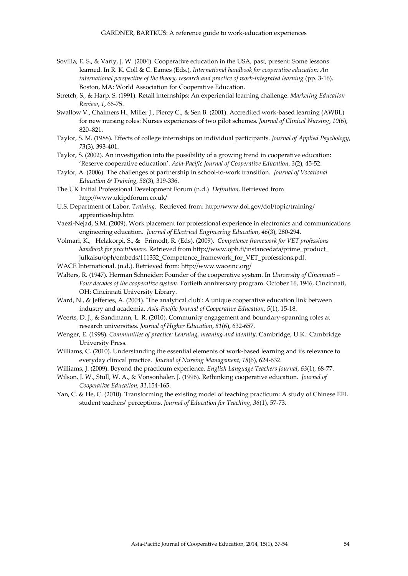- Sovilla, E. S., & Varty, J. W. (2004). Cooperative education in the USA, past, present: Some lessons learned. In R. K. Coll & C. Eames (Eds.), *International handbook for cooperative education: An international perspective of the theory, research and practice of work‐integrated learning* (pp. 3‐16). Boston, MA: World Association for Cooperative Education.
- Stretch, S., & Harp. S. (1991). Retail internships: An experiential learning challenge. *Marketing Education Review*, *1*, 66-75.
- Swallow V., Chalmers H., Miller J., Piercy C., & Sen B. (2001). Accredited work-based learning (AWBL) for new nursing roles: Nurses experiences of two pilot schemes. *Journal of Clinical Nursing*, *10*(6), 820–821.
- Taylor, S. M. (1988). Effects of college internships on individual participants. *Journal of Applied Psychology*, *73*(3), 393-401.
- Taylor, S. (2002). An investigation into the possibility of a growing trend in cooperative education: 'Reserve cooperative education'. *Asia-Pacific Journal of Cooperative Education*, *3*(2), 45-52.
- Taylor, A. (2006). The challenges of partnership in school‐to‐work transition. *Journal of Vocational Education & Training*, *58*(3), 319-336.
- The UK Initial Professional Development Forum (n.d.) *Definition*. Retrieved from http://www.ukipdforum.co.uk/
- U.S. Department of Labor. *Training.* Retrieved from[: http://www.dol.gov/](http://www.dol.gov/)dol/topic/training/ apprenticeship.htm
- Vaezi-Nejad, S.M. (2009). Work placement for professional experience in electronics and communications engineering education. *Journal of Electrical Engineering Education*, *46*(3), 280-294.
- Volmari, K., Helakorpi, S., & Frimodt, R. (Eds). (2009). *Competence framework for VET professions handbook for practitioners*. Retrieved from [http://www.oph.fi/instancedata/prime\\_product\\_](http://www.oph.fi/instancedata/prime_product_) julkaisu/oph/embeds/111332\_Competence\_framework\_for\_VET\_professions.pdf.
- WACE International. (n.d.). Retrieved from: http://www.waceinc.org/
- Walters, R. (1947). Herman Schneider: Founder of the cooperative system. In *University of Cincinnati – Four decades of the cooperative system*. Fortieth anniversary program. October 16, 1946, Cincinnati, OH: Cincinnati University Library.
- Ward, N., & Jefferies, A. (2004). 'The analytical club': A unique cooperative education link between industry and academia. *Asia‐Pacific Journal of Cooperative Education*, *5*(1), 15‐18.
- Weerts, D. J., & Sandmann, L. R. (2010). Community engagement and boundary-spanning roles at research universities. *Journal of Higher Education*, *81*(6), 632-657.
- Wenger, E. (1998). *Communities of practice: Learning, meaning and identity*. Cambridge, U.K.: Cambridge University Press.
- Williams, C. (2010). Understanding the essential elements of work-based learning and its relevance to everyday clinical practice. *Journal of Nursing Management*, *18*(6), 624-632.
- Williams, J. (2009). Beyond the practicum experience. *English Language Teachers Journal*, *63*(1), 68-77.
- Wilson, J. W., Stull, W. A., & Vonsonhaler, J. (1996). Rethinking cooperative education. *Journal of Cooperative Education*, *31*,154-165.
- Yan, C. & He, C. (2010). Transforming the existing model of teaching practicum: A study of Chinese EFL student teachers' perceptions. *Journal of Education for Teaching*, *36*(1), 57-73.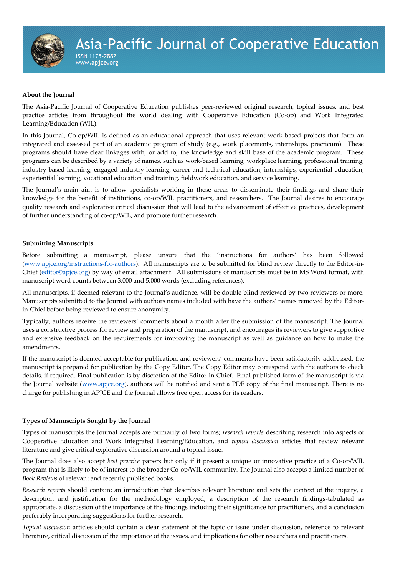#### **About the Journal**

www.apjce.org

The Asia-Pacific Journal of Cooperative Education publishes peer-reviewed original research, topical issues, and best practice articles from throughout the world dealing with Cooperative Education (Co-op) and Work Integrated Learning/Education (WIL).

In this Journal, Co-op/WIL is defined as an educational approach that uses relevant work-based projects that form an integrated and assessed part of an academic program of study (e.g., work placements, internships, practicum). These programs should have clear linkages with, or add to, the knowledge and skill base of the academic program. These programs can be described by a variety of names, such as work-based learning, workplace learning, professional training, industry-based learning, engaged industry learning, career and technical education, internships, experiential education, experiential learning, vocational education and training, fieldwork education, and service learning.

The Journal's main aim is to allow specialists working in these areas to disseminate their findings and share their knowledge for the benefit of institutions, co-op/WIL practitioners, and researchers. The Journal desires to encourage quality research and explorative critical discussion that will lead to the advancement of effective practices, development of further understanding of co-op/WIL, and promote further research.

#### **Submitting Manuscripts**

Before submitting a manuscript, please unsure that the 'instructions for authors' has been followed [\(www.apjce.org/instructions-for-authors\)](http://www.apjce.org/instructions-for-authors). All manuscripts are to be submitted for blind review directly to the Editor-in-Chief [\(editor@apjce.org\)](mailto:editor@apjce.org) by way of email attachment. All submissions of manuscripts must be in MS Word format, with manuscript word counts between 3,000 and 5,000 words (excluding references).

All manuscripts, if deemed relevant to the Journal's audience, will be double blind reviewed by two reviewers or more. Manuscripts submitted to the Journal with authors names included with have the authors' names removed by the Editorin-Chief before being reviewed to ensure anonymity.

Typically, authors receive the reviewers' comments about a month after the submission of the manuscript. The Journal uses a constructive process for review and preparation of the manuscript, and encourages its reviewers to give supportive and extensive feedback on the requirements for improving the manuscript as well as guidance on how to make the amendments.

If the manuscript is deemed acceptable for publication, and reviewers' comments have been satisfactorily addressed, the manuscript is prepared for publication by the Copy Editor. The Copy Editor may correspond with the authors to check details, if required. Final publication is by discretion of the Editor-in-Chief. Final published form of the manuscript is via the Journal website [\(www.apjce.org\)](http://www.apjce.org/), authors will be notified and sent a PDF copy of the final manuscript. There is no charge for publishing in APJCE and the Journal allows free open access for its readers.

#### **Types of Manuscripts Sought by the Journal**

Types of manuscripts the Journal accepts are primarily of two forms; *research reports* describing research into aspects of Cooperative Education and Work Integrated Learning/Education, and *topical discussion* articles that review relevant literature and give critical explorative discussion around a topical issue.

The Journal does also accept *best practice* papers but only if it present a unique or innovative practice of a Co-op/WIL program that is likely to be of interest to the broader Co-op/WIL community. The Journal also accepts a limited number of *Book Reviews* of relevant and recently published books.

*Research reports* should contain; an introduction that describes relevant literature and sets the context of the inquiry, a description and justification for the methodology employed, a description of the research findings-tabulated as appropriate, a discussion of the importance of the findings including their significance for practitioners, and a conclusion preferably incorporating suggestions for further research.

*Topical discussion* articles should contain a clear statement of the topic or issue under discussion, reference to relevant literature, critical discussion of the importance of the issues, and implications for other researchers and practitioners.